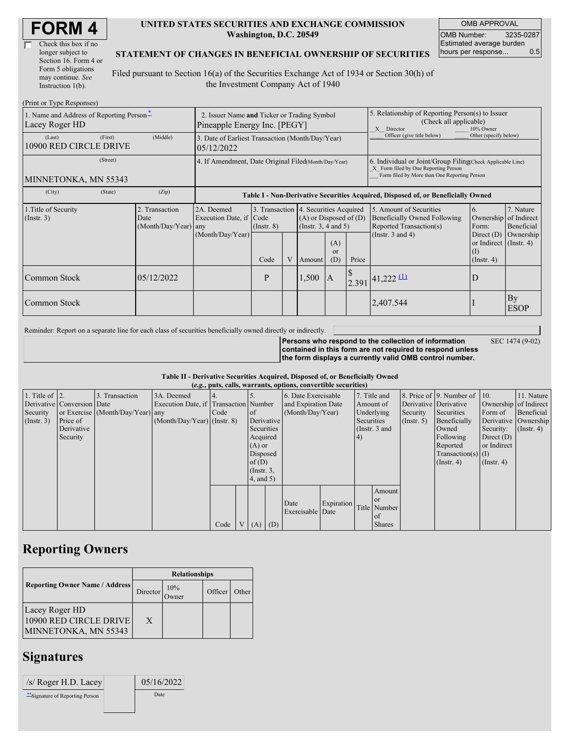| Check this box if no  |
|-----------------------|
| longer subject to     |
| Section 16. Form 4 or |
| Form 5 obligations    |
| may continue. See     |
| Instruction $1(b)$ .  |

#### **UNITED STATES SECURITIES AND EXCHANGE COMMISSION Washington, D.C. 20549**

OMB APPROVAL OMB Number: 3235-0287 Estimated average burden hours per response... 0.5

#### **STATEMENT OF CHANGES IN BENEFICIAL OWNERSHIP OF SECURITIES**

Filed pursuant to Section 16(a) of the Securities Exchange Act of 1934 or Section 30(h) of the Investment Company Act of 1940

| (Print or Type Responses)                                  |                                                                             |                                                |                                                                                  |                  |   |                                                                                             |                                                                                                                                                    |       |                                                                                           |                                                                              |                                        |
|------------------------------------------------------------|-----------------------------------------------------------------------------|------------------------------------------------|----------------------------------------------------------------------------------|------------------|---|---------------------------------------------------------------------------------------------|----------------------------------------------------------------------------------------------------------------------------------------------------|-------|-------------------------------------------------------------------------------------------|------------------------------------------------------------------------------|----------------------------------------|
| 1. Name and Address of Reporting Person-<br>Lacey Roger HD | 2. Issuer Name and Ticker or Trading Symbol<br>Pineapple Energy Inc. [PEGY] |                                                |                                                                                  |                  |   |                                                                                             | 5. Relationship of Reporting Person(s) to Issuer<br>(Check all applicable)<br>10% Owner<br>X Director                                              |       |                                                                                           |                                                                              |                                        |
| (Last)<br>10900 RED CIRCLE DRIVE                           | (First)                                                                     | (Middle)                                       | 3. Date of Earliest Transaction (Month/Day/Year)<br>05/12/2022                   |                  |   |                                                                                             |                                                                                                                                                    |       | Officer (give title below)                                                                | Other (specify below)                                                        |                                        |
| MINNETONKA, MN 55343                                       | 4. If Amendment, Date Original Filed(Month/Day/Year)                        |                                                |                                                                                  |                  |   |                                                                                             | 6. Individual or Joint/Group Filing Check Applicable Line)<br>X Form filed by One Reporting Person<br>Form filed by More than One Reporting Person |       |                                                                                           |                                                                              |                                        |
| (City)                                                     | (State)                                                                     | (Zip)                                          | Table I - Non-Derivative Securities Acquired, Disposed of, or Beneficially Owned |                  |   |                                                                                             |                                                                                                                                                    |       |                                                                                           |                                                                              |                                        |
| 1. Title of Security<br>$($ Instr. 3 $)$                   |                                                                             | 2. Transaction<br>Date<br>(Month/Day/Year) any | 2A. Deemed<br>Execution Date, if Code                                            | $($ Instr. 8 $)$ |   | 3. Transaction 4. Securities Acquired<br>$(A)$ or Disposed of $(D)$<br>(Insert. 3, 4 and 5) |                                                                                                                                                    |       | 5. Amount of Securities<br><b>Beneficially Owned Following</b><br>Reported Transaction(s) | 6.<br>Ownership<br>Form:                                                     | 7. Nature<br>of Indirect<br>Beneficial |
|                                                            |                                                                             |                                                | (Month/Day/Year)                                                                 | Code             | V | Amount                                                                                      | (A)<br><sub>or</sub><br>(D)                                                                                                                        | Price | (Instr. $3$ and $4$ )                                                                     | Direct $(D)$<br>or Indirect $($ Instr. 4 $)$<br>$\rm(I)$<br>$($ Instr. 4 $)$ | Ownership                              |
| Common Stock                                               |                                                                             | 05/12/2022                                     |                                                                                  | P                |   | 1,500                                                                                       | <sup>1</sup> A                                                                                                                                     |       | $2.391$ 41,222 (1)                                                                        | D                                                                            |                                        |
| Common Stock                                               |                                                                             |                                                |                                                                                  |                  |   |                                                                                             |                                                                                                                                                    |       | 2,407.544                                                                                 |                                                                              | By<br><b>ESOP</b>                      |

Reminder: Report on a separate line for each class of securities beneficially owned directly or indirectly.

**Persons who respond to the collection of information**

SEC 1474 (9-02)

**contained in this form are not required to respond unless the form displays a currently valid OMB control number.**

**Table II - Derivative Securities Acquired, Disposed of, or Beneficially Owned**

| (e.g., puts, calls, warrants, options, convertible securities) |                            |                                  |                                       |      |  |                 |     |                     |            |            |                 |               |                          |                       |               |
|----------------------------------------------------------------|----------------------------|----------------------------------|---------------------------------------|------|--|-----------------|-----|---------------------|------------|------------|-----------------|---------------|--------------------------|-----------------------|---------------|
| 1. Title of $\vert$ 2.                                         |                            | 3. Transaction                   | 3A. Deemed                            |      |  |                 |     | 6. Date Exercisable |            |            | 7. Title and    |               | 8. Price of 9. Number of | 110.                  | 11. Nature    |
|                                                                | Derivative Conversion Date |                                  | Execution Date, if Transaction Number |      |  |                 |     | and Expiration Date |            |            | Amount of       |               | Derivative Derivative    | Ownership of Indirect |               |
| Security                                                       |                            | or Exercise (Month/Day/Year) any |                                       | Code |  | <sub>of</sub>   |     | (Month/Day/Year)    |            |            | Underlying      | Security      | Securities               | Form of               | Beneficial    |
| (Insert. 3)                                                    | Price of                   |                                  | $(Month/Day/Year)$ (Instr. 8)         |      |  | Derivative      |     |                     |            | Securities |                 | $($ Instr. 5) | Beneficially             | Derivative Ownership  |               |
|                                                                | Derivative                 |                                  |                                       |      |  | Securities      |     |                     |            |            | (Instr. $3$ and |               | Owned                    | Security:             | $($ Instr. 4) |
|                                                                | Security                   |                                  |                                       |      |  | Acquired        |     |                     |            | 4)         |                 |               | Following                | Direct $(D)$          |               |
|                                                                |                            |                                  |                                       |      |  | $(A)$ or        |     |                     |            |            |                 |               | Reported                 | or Indirect           |               |
|                                                                |                            |                                  |                                       |      |  | Disposed        |     |                     |            |            |                 |               | $Transaction(s)$ (I)     |                       |               |
|                                                                |                            |                                  |                                       |      |  | of(D)           |     |                     |            |            |                 |               | $($ Instr. 4 $)$         | $($ Instr. 4 $)$      |               |
|                                                                |                            |                                  |                                       |      |  | $($ Instr. $3,$ |     |                     |            |            |                 |               |                          |                       |               |
|                                                                |                            |                                  |                                       |      |  | $4$ , and $5$ ) |     |                     |            |            |                 |               |                          |                       |               |
|                                                                |                            |                                  |                                       |      |  |                 |     |                     |            |            | Amount          |               |                          |                       |               |
|                                                                |                            |                                  |                                       |      |  |                 |     |                     |            |            | <b>or</b>       |               |                          |                       |               |
|                                                                |                            |                                  |                                       |      |  |                 |     | Date                | Expiration |            | Title Number    |               |                          |                       |               |
|                                                                |                            |                                  |                                       |      |  |                 |     | Exercisable Date    |            |            | of              |               |                          |                       |               |
|                                                                |                            |                                  |                                       | Code |  | V(A)            | (D) |                     |            |            | <b>Shares</b>   |               |                          |                       |               |

## **Reporting Owners**

|                                                                  | <b>Relationships</b> |              |         |       |  |  |  |
|------------------------------------------------------------------|----------------------|--------------|---------|-------|--|--|--|
| <b>Reporting Owner Name / Address</b>                            | Director             | 10%<br>Dwner | Officer | Other |  |  |  |
| Lacey Roger HD<br>10900 RED CIRCLE DRIVE<br>MINNETONKA, MN 55343 | X                    |              |         |       |  |  |  |

### **Signatures**

| $\sqrt{s}$ Roger H.D. Lacey      | 05/16/2022 |
|----------------------------------|------------|
| ** Signature of Reporting Person | Date       |
|                                  |            |